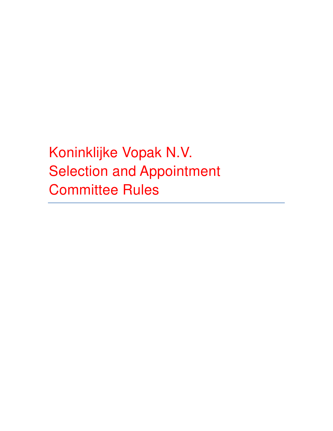Koninklijke Vopak N.V. Selection and Appointment Committee Rules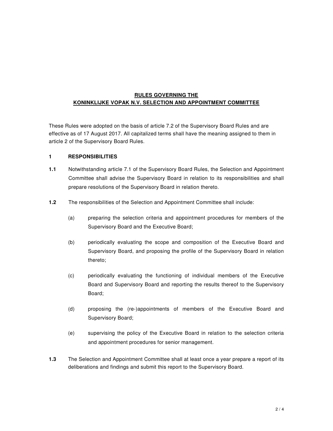## **RULES GOVERNING THE KONINKLIJKE VOPAK N.V. SELECTION AND APPOINTMENT COMMITTEE**

These Rules were adopted on the basis of article 7.2 of the Supervisory Board Rules and are effective as of 17 August 2017. All capitalized terms shall have the meaning assigned to them in article 2 of the Supervisory Board Rules.

#### **1 RESPONSIBILITIES**

- **1.1** Notwithstanding article 7.1 of the Supervisory Board Rules, the Selection and Appointment Committee shall advise the Supervisory Board in relation to its responsibilities and shall prepare resolutions of the Supervisory Board in relation thereto.
- **1.2** The responsibilities of the Selection and Appointment Committee shall include:
	- (a) preparing the selection criteria and appointment procedures for members of the Supervisory Board and the Executive Board;
	- (b) periodically evaluating the scope and composition of the Executive Board and Supervisory Board, and proposing the profile of the Supervisory Board in relation thereto;
	- (c) periodically evaluating the functioning of individual members of the Executive Board and Supervisory Board and reporting the results thereof to the Supervisory Board;
	- (d) proposing the (re-)appointments of members of the Executive Board and Supervisory Board;
	- (e) supervising the policy of the Executive Board in relation to the selection criteria and appointment procedures for senior management.
- **1.3** The Selection and Appointment Committee shall at least once a year prepare a report of its deliberations and findings and submit this report to the Supervisory Board.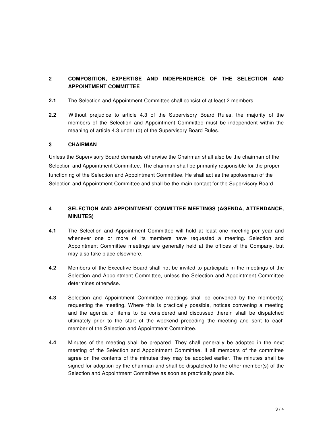# **2 COMPOSITION, EXPERTISE AND INDEPENDENCE OF THE SELECTION AND APPOINTMENT COMMITTEE**

- **2.1** The Selection and Appointment Committee shall consist of at least 2 members.
- **2.2** Without prejudice to article 4.3 of the Supervisory Board Rules, the majority of the members of the Selection and Appointment Committee must be independent within the meaning of article 4.3 under (d) of the Supervisory Board Rules.

### **3 CHAIRMAN**

Unless the Supervisory Board demands otherwise the Chairman shall also be the chairman of the Selection and Appointment Committee. The chairman shall be primarily responsible for the proper functioning of the Selection and Appointment Committee. He shall act as the spokesman of the Selection and Appointment Committee and shall be the main contact for the Supervisory Board.

### **4 SELECTION AND APPOINTMENT COMMITTEE MEETINGS (AGENDA, ATTENDANCE, MINUTES)**

- **4.1** The Selection and Appointment Committee will hold at least one meeting per year and whenever one or more of its members have requested a meeting. Selection and Appointment Committee meetings are generally held at the offices of the Company, but may also take place elsewhere.
- **4.2** Members of the Executive Board shall not be invited to participate in the meetings of the Selection and Appointment Committee, unless the Selection and Appointment Committee determines otherwise.
- **4.3** Selection and Appointment Committee meetings shall be convened by the member(s) requesting the meeting. Where this is practically possible, notices convening a meeting and the agenda of items to be considered and discussed therein shall be dispatched ultimately prior to the start of the weekend preceding the meeting and sent to each member of the Selection and Appointment Committee.
- **4.4** Minutes of the meeting shall be prepared. They shall generally be adopted in the next meeting of the Selection and Appointment Committee. If all members of the committee agree on the contents of the minutes they may be adopted earlier. The minutes shall be signed for adoption by the chairman and shall be dispatched to the other member(s) of the Selection and Appointment Committee as soon as practically possible.